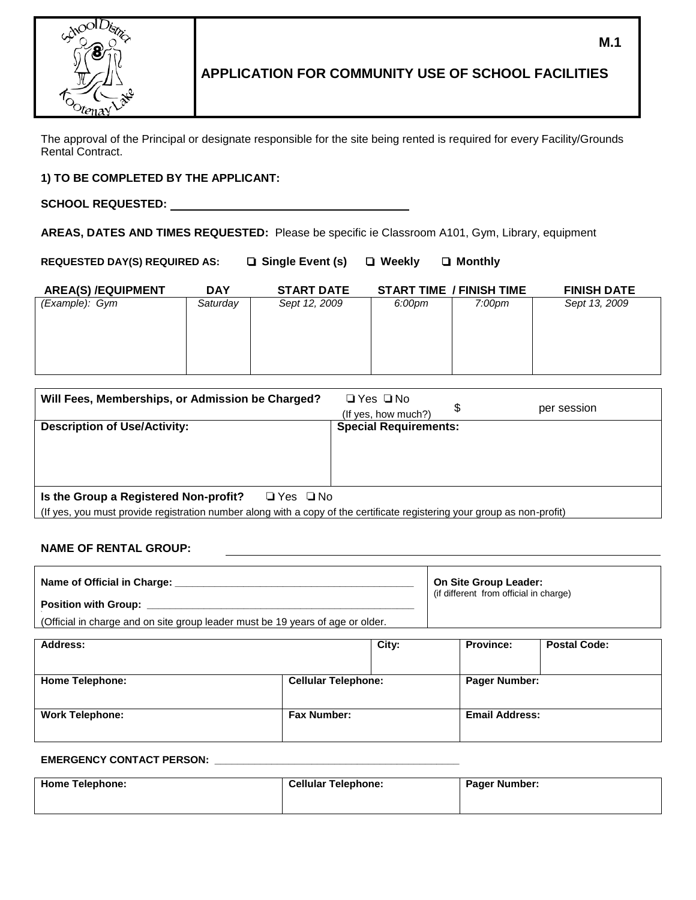

# **APPLICATION FOR COMMUNITY USE OF SCHOOL FACILITIES**

The approval of the Principal or designate responsible for the site being rented is required for every Facility/Grounds Rental Contract.

## **1) TO BE COMPLETED BY THE APPLICANT:**

## **SCHOOL REQUESTED:**

**AREAS, DATES AND TIMES REQUESTED:** Please be specific ie Classroom A101, Gym, Library, equipment

**REQUESTED DAY(S) REQUIRED AS:** ❏ **Single Event (s)** ❏ **Weekly** ❏ **Monthly** 

| <b>AREA(S) /EQUIPMENT</b> | <b>DAY</b> | <b>START DATE</b> |        | <b>START TIME / FINISH TIME</b> | <b>FINISH DATE</b> |
|---------------------------|------------|-------------------|--------|---------------------------------|--------------------|
| (Example): Gym            | Saturday   | Sept 12, 2009     | 6:00pm | 7:00pm                          | Sept 13, 2009      |
|                           |            |                   |        |                                 |                    |
|                           |            |                   |        |                                 |                    |
|                           |            |                   |        |                                 |                    |
|                           |            |                   |        |                                 |                    |

| Will Fees, Memberships, or Admission be Charged?                                                                                                                                          | $\Box$ Yes $\Box$ No<br>(If yes, how much?) | \$<br>per session |
|-------------------------------------------------------------------------------------------------------------------------------------------------------------------------------------------|---------------------------------------------|-------------------|
| <b>Description of Use/Activity:</b>                                                                                                                                                       | <b>Special Requirements:</b>                |                   |
| Is the Group a Registered Non-profit?<br>$\Box$ Yes $\Box$ No<br>(If yes, you must provide registration number along with a copy of the certificate registering your group as non-profit) |                                             |                   |

## **NAME OF RENTAL GROUP:**

| Name of Official in Charge:                                                    | <b>On Site Group Leader:</b><br>(if different from official in charge) |
|--------------------------------------------------------------------------------|------------------------------------------------------------------------|
| <b>Position with Group:</b>                                                    |                                                                        |
| (Official in charge and on site group leader must be 19 years of age or older. |                                                                        |
|                                                                                |                                                                        |

| Address:               |                            | City: | <b>Province:</b>      | <b>Postal Code:</b> |
|------------------------|----------------------------|-------|-----------------------|---------------------|
| <b>Home Telephone:</b> | <b>Cellular Telephone:</b> |       | Pager Number:         |                     |
| <b>Work Telephone:</b> | <b>Fax Number:</b>         |       | <b>Email Address:</b> |                     |

#### **EMERGENCY CONTACT PERSON: \_\_\_\_\_\_\_\_\_\_\_\_\_\_\_\_\_\_\_\_\_\_\_\_\_\_\_\_\_\_\_\_\_\_\_\_\_\_\_\_\_\_\_**

| <b>Home Telephone:</b> | <b>Cellular Telephone:</b> | <b>Pager Number:</b> |
|------------------------|----------------------------|----------------------|
|                        |                            |                      |